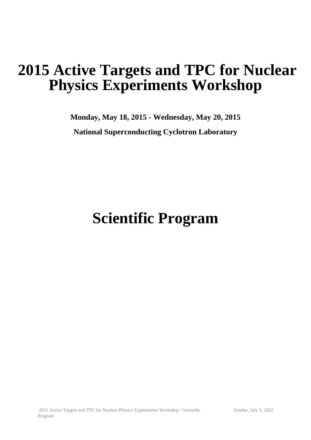## **2015 Active Targets and TPC for Nuclear Physics Experiments Workshop**

**Monday, May 18, 2015 - Wednesday, May 20, 2015 National Superconducting Cyclotron Laboratory**

# **Scientific Program**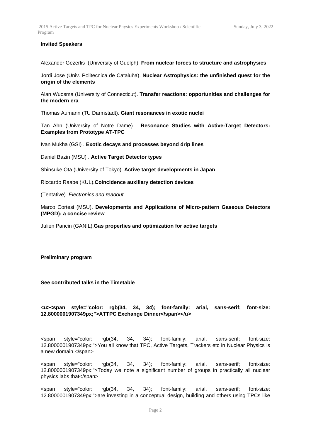#### **Invited Speakers**

Alexander Gezerlis (University of Guelph). **From nuclear forces to structure and astrophysics**

Jordi Jose (Univ. Politecnica de Cataluña). **Nuclear Astrophysics: the unfinished quest for the origin of the elements**

Alan Wuosma (University of Connecticut). **Transfer reactions: opportunities and challenges for the modern era**

Thomas Aumann (TU Darmstadt). **Giant resonances in exotic nuclei**

Tan Ahn (University of Notre Dame) . **Resonance Studies with Active-Target Detectors: Examples from Prototype AT-TPC**

Ivan Mukha (GSI) . **Exotic decays and processes beyond drip lines**

Daniel Bazin (MSU) . **Active Target Detector types**

Shinsuke Ota (University of Tokyo). **Active target developments in Japan**

Riccardo Raabe (KUL).**Coincidence auxiliary detection devices**

(Tentative). *Electronics and readout*

Marco Cortesi (MSU). **Developments and Applications of Micro-pattern Gaseous Detectors (MPGD): a concise review**

Julien Pancin (GANIL).**Gas properties and optimization for active targets**

#### **Preliminary program**

**See contributed talks in the Timetable**

#### **<u><span style="color: rgb(34, 34, 34); font-family: arial, sans-serif; font-size: 12.8000001907349px;">ATTPC Exchange Dinner</span></u>**

<span style="color: rgb(34, 34, 34); font-family: arial, sans-serif; font-size: 12.8000001907349px;">You all know that TPC, Active Targets, Trackers etc in Nuclear Physics is a new domain.</span>

<span style="color: rgb(34, 34, 34); font-family: arial, sans-serif; font-size: 12.8000001907349px;">Today we note a significant number of groups in practically all nuclear physics labs that</span>

<span style="color: rgb(34, 34, 34); font-family: arial, sans-serif; font-size: 12.8000001907349px;">are investing in a conceptual design, building and others using TPCs like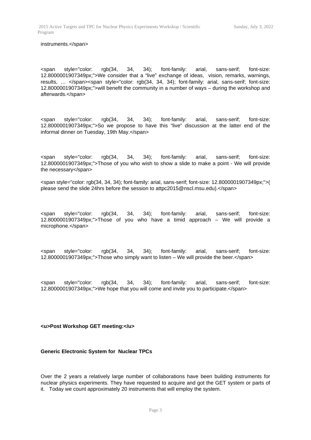#### instruments.</span>

<span style="color: rgb(34, 34, 34); font-family: arial, sans-serif; font-size: 12.8000001907349px;">We consider that a "live" exchange of ideas, vision, remarks, warnings, results, ... </span><span style="color: rgb(34, 34, 34); font-family: arial, sans-serif; font-size: 12.8000001907349px;">will benefit the community in a number of ways – during the workshop and afterwards.</span>

<span style="color: rgb(34, 34, 34); font-family: arial, sans-serif; font-size: 12.8000001907349px;">So we propose to have this "live" discussion at the latter end of the informal dinner on Tuesday, 19th May.</span>

<span style="color: rgb(34, 34, 34); font-family: arial, sans-serif; font-size: 12.8000001907349px;">Those of you who wish to show a slide to make a point - We will provide the necessary</span>

<span style="color: rgb(34, 34, 34); font-family: arial, sans-serif; font-size: 12.8000001907349px;">( please send the slide 24hrs before the session to attpc2015@nscl.msu.edu).</span>

<span style="color: rgb(34, 34, 34); font-family: arial, sans-serif; font-size: 12.8000001907349px;">Those of you who have a timid approach – We will provide a microphone.</span>

<span style="color: rgb(34, 34, 34); font-family: arial, sans-serif; font-size: 12.8000001907349px;">Those who simply want to listen – We will provide the beer.</span>

<span style="color: rgb(34, 34, 34); font-family: arial, sans-serif; font-size: 12.8000001907349px;">We hope that you will come and invite you to participate.</span>

#### **<u>Post Workshop GET meeting:</u>**

#### **Generic Electronic System for Nuclear TPCs**

Over the 2 years a relatively large number of collaborations have been building instruments for nuclear physics experiments. They have requested to acquire and got the GET system or parts of it. Today we count approximately 20 instruments that will employ the system.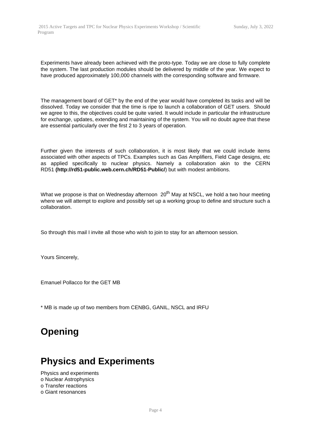Experiments have already been achieved with the proto-type. Today we are close to fully complete the system. The last production modules should be delivered by middle of the year. We expect to have produced approximately 100,000 channels with the corresponding software and firmware.

The management board of GET\* by the end of the year would have completed its tasks and will be dissolved. Today we consider that the time is ripe to launch a collaboration of GET users. Should we agree to this, the objectives could be quite varied. It would include in particular the infrastructure for exchange, updates, extending and maintaining of the system. You will no doubt agree that these are essential particularly over the first 2 to 3 years of operation.

Further given the interests of such collaboration, it is most likely that we could include items associated with other aspects of TPCs. Examples such as Gas Amplifiers, Field Cage designs, etc as applied specifically to nuclear physics. Namely a collaboration akin to the CERN RD51 **(http://rd51-public.web.cern.ch/RD51-Public/**) but with modest ambitions.

What we propose is that on Wednesday afternoon  $20<sup>th</sup>$  May at NSCL, we hold a two hour meeting where we will attempt to explore and possibly set up a working group to define and structure such a collaboration.

So through this mail I invite all those who wish to join to stay for an afternoon session.

Yours Sincerely,

Emanuel Pollacco for the GET MB

\* MB is made up of two members from CENBG, GANIL, NSCL and IRFU

### **Opening**

### **Physics and Experiments**

Physics and experiments o Nuclear Astrophysics o Transfer reactions o Giant resonances